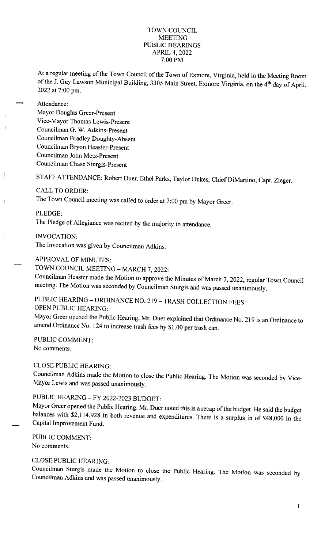## TOWN COUNCIL MEETING PUBLIC HEARINGS APRIL 4, 2022 7: 00 PM

At a regular meeting of the Town Council of the Town of Exmore, Virginia, held in the Meeting Room of the J. Guy Lawson Municipal Building, 3305 Main Street, Exmore Virginia, on the 4<sup>th</sup> day of April, 2022 at 7:00 pm.

### Attendance:

Mayor Douglas Greer-Present Vice-Mayor Thomas Lewis-Present Councilman G. W. Adkins-Present Councilman Bradley Doughty-Absent Councilman Bryon Heaster-Present Councilman John Metz-Present Councilman Chase Sturgis-Present

STAFF ATTENDANCE: Robert Duer, Ethel Parks, Taylor Dukes, Chief DiMartino, Capt. Zieger.

## CALL TO ORDER:

The Town Council meeting was called to order at 7:00 pm by Mayor Greer.

PLEDGE:

The Pledge of Allegiance was recited by the majority in attendance.

INVOCATION:

The Invocation was given by Councilman Adkins,

## APPROVAL OF MINUTES:

TOWN COUNCIL MEETING - MARCH 7, 2022:

Councilman Heaster made the Motion to approve the Minutes of March 7, 2022, regular Town Council meeting. The Motion was seconded by Councilman Sturgis and was passed unanimously.

# PUBLIC HEARING - ORDINANCE NO. 219 - TRASH COLLECTION FEES:

OPEN PUBLIC HEARING:

Mayor Greer opened the Public Hearing. Mr. Duer explained that Ordinance No. 219 is an Ordinance to amend Ordinance No. 124 to increase trash fees by \$1.00 per trash can.

PUBLIC COMMENT: No comments.

## CLOSE PUBLIC HEARING:

Councilman Adkins made the Motion to close the Public Hearing. The Motion was seconded by Vice-Mayor Lewis and was passed unanimously.

# PUBLIC HEARING - FY 2022-2023 BUDGET:

Mayor Greer opened the Public Hearing. Mr. Duer noted this is a recap of the budget. He said the budget balances with \$2,114,928 in both revenue and expenditures. There is a surplus in of \$48,000 in the Capital Improvement Fund.

PUBLIC COMMENT: No comments.

# CLOSE PUBLIC HEARING:

Councilman Sturgis made the Motion to close the Public Hearing. The Motion was seconded by Councilman Adkins and was passed unanimously.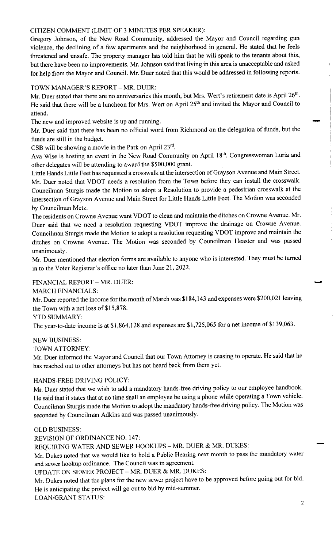## CITIZEN COMMENT (LIMIT OF 3 MINUTES PER SPEAKER):

Gregory Johnson, of the New Road Community, addressed the Mayor and Council regarding gun violence, the declining of a few apartments and the neighborhood in general. He stated that he feels threatened and unsafe. The property manager has told him that he will speak to the tenants about this, but there have been no improvements. Mr. Johnson said that living in this area is unacceptable and asked for help from the Mayor and Council. Mr. Duer noted that this would be addressed in following reports.

# TOWN MANAGER'S REPORT - MR. DUER:

Mr. Duer stated that there are no anniversaries this month, but Mrs. Wert's retirement date is April 26<sup>th</sup>. He said that there will be a luncheon for Mrs. Wert on April 25<sup>th</sup> and invited the Mayor and Council to attend.<br>The new and improved website is up and running. attend.

Mr. Duer said that there has been no official word from Richmond on the delegation of funds, but the funds are still in the budget.

CSB will be showing a movie in the Park on April 23'd.

Ava Wise is hosting an event in the New Road Community on April 18<sup>th</sup>. Congresswoman Luria and other delegates will be attending to award the \$500,000 grant.

Little Hands Little Feet has requested a crosswalk at the intersection of Grayson Avenue and Main Street. Mr. Duer noted that VDOT needs a resolution from the Town before they can install the crosswalk. Councilman Sturgis made the Motion to adopt a Resolution to provide a pedestrian crosswalk at the intersection of Grayson Avenue and Main Street for Little Hands Little Feet. The Motion was seconded by Councilman Metz.

The residents on Crowne Avenue want VDOT to clean and maintain the ditches on Crowne Avenue. Mr. Duer said that we need a resolution requesting VDOT improve the drainage on Crowne Avenue. Councilman Sturgis made the Motion to adopt a resolution requesting VDOT improve and maintain the ditches on Crowne Avenue. The Motion was seconded by Councilman Heaster and was passed unanimously.

Mr. Duer mentioned that election forms are available to anyone who is interested. They must be turned in to the Voter Registrar's office no later than June 21, 2022.

FINANCIAL REPORT - MR. DUER:

MARCH FINANCIALS:

Mr. Duer reported the income for the month of March was \$184,143 and expenses were \$200,021 leaving the Town with a net loss of \$15,878.

YTD SUMMARY:

The year-to-date income is at \$1,864,128 and expenses are \$1,725,065 for a net income of \$139,063.

#### NEW BUSINESS:

TOWN ATTORNEY:

Mr. Duer informed the Mayor and Council that our Town Attorney is ceasing to operate. He said that he has reached out to other attorneys but has not heard back from them yet.

## HANDS-FREE DRIVING POLICY:

Mr. Duer stated that we wish to add a mandatory hands-free driving policy to our employee handbook. He said that it states that at no time shall an employee be using a phone while operating a Town vehicle. Councilman Sturgis made the Motion to adopt the mandatory hands-free driving policy. The Motion was seconded by Councilman Adkins and was passed unanimously.

#### OLD BUSINESS:

REVISION OF ORDINANCE NO. 147:

REQUIRING WATER AND SEWER HOOKUPS - MR. DUER & MR. DUKES:

Mr. Dukes noted that we would like to hold a Public Hearing next month to pass the mandatory water and sewer hookup ordinance. The Council was in agreement.

UPDATE ON SEWER PROJECT - MR. DUER & MR. DUKES:

Mr. Dukes noted that the plans for the new sewer project have to be approved before going out for bid. He is anticipating the project will go out to bid by mid-summer.

LOAN/GRANT STATUS:

i.

 $\frac{1}{4}$ 

 $\begin{array}{c} 1 \\ 1 \\ 1 \end{array}$